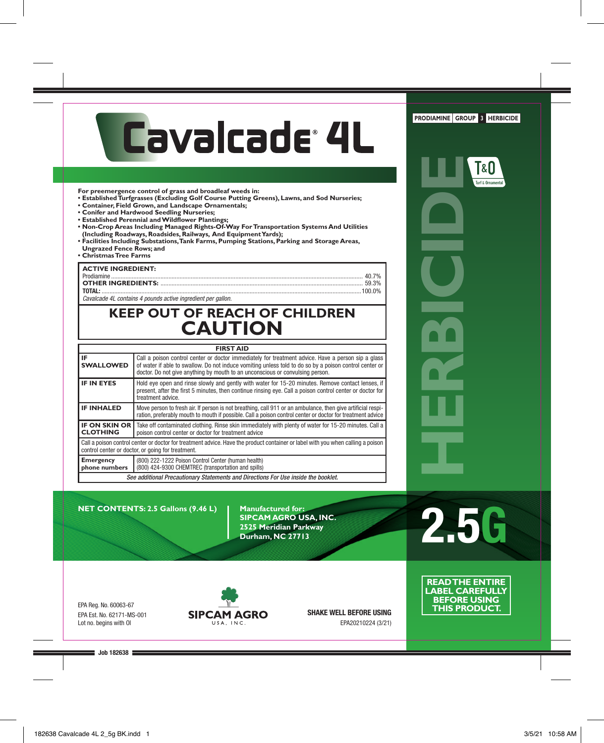# Cavalcade<sup>®</sup> 4L

**For preemergence control of grass and broadleaf weeds in:** 

- **Established Turfgrasses (Excluding Golf Course Putting Greens), Lawns, and Sod Nurseries;**
- **Container, Field Grown, and Landscape Ornamentals;**
- **Conifer and Hardwood Seedling Nurseries;**
- **Established Perennial and Wildflower Plantings;**
- **Non-Crop Areas Including Managed Rights-Of-Way For Transportation Systems And Utilities (Including Roadways, Roadsides, Railways, And Equipment Yards);**
- **Facilities Including Substations, Tank Farms, Pumping Stations, Parking and Storage Areas, Ungrazed Fence Rows; and**
- **Christmas Tree Farms**

#### **ACTIVE INGREDIENT:**

| , ACTIVE INGREDIENT. |  |
|----------------------|--|
|                      |  |
|                      |  |
|                      |  |
|                      |  |

Cavalcade 4L contains 4 pounds active ingredient per gallon.

## **KEEP OUT OF REACH OF CHILDREN CAUTION**

| <b>FIRST AID</b>                                                                                                                                |                                                                                                                                                                                                                                                                                               |  |  |  |  |  |
|-------------------------------------------------------------------------------------------------------------------------------------------------|-----------------------------------------------------------------------------------------------------------------------------------------------------------------------------------------------------------------------------------------------------------------------------------------------|--|--|--|--|--|
| IF<br><b>SWALLOWED</b>                                                                                                                          | Call a poison control center or doctor immediately for treatment advice. Have a person sip a glass<br>of water if able to swallow. Do not induce vomiting unless told to do so by a poison control center or<br>doctor. Do not give anything by mouth to an unconscious or convulsing person. |  |  |  |  |  |
| <b>IF IN EYES</b>                                                                                                                               | Hold eye open and rinse slowly and gently with water for 15-20 minutes. Remove contact lenses, if<br>present, after the first 5 minutes, then continue rinsing eye. Call a poison control center or doctor for<br>treatment advice.                                                           |  |  |  |  |  |
| <b>IF INHALED</b>                                                                                                                               | Move person to fresh air. If person is not breathing, call 911 or an ambulance, then give artificial respi-<br>ration, preferably mouth to mouth if possible. Call a poison control center or doctor for treatment advice                                                                     |  |  |  |  |  |
| <b>IF ON SKIN OR</b><br><b>CLOTHING</b>                                                                                                         | Take off contaminated clothing. Rinse skin immediately with plenty of water for 15-20 minutes. Call a<br>poison control center or doctor for treatment advice                                                                                                                                 |  |  |  |  |  |
|                                                                                                                                                 | Call a poison control center or doctor for treatment advice. Have the product container or label with you when calling a poison<br>control center or doctor, or going for treatment.                                                                                                          |  |  |  |  |  |
| (800) 222-1222 Poison Control Center (human health)<br><b>Emergency</b><br>phone numbers<br>(800) 424-9300 CHEMTREC (transportation and spills) |                                                                                                                                                                                                                                                                                               |  |  |  |  |  |
| See additional Precautionary Statements and Directions For Use inside the booklet.                                                              |                                                                                                                                                                                                                                                                                               |  |  |  |  |  |

**NET CONTENTS: 2.5 Gallons (9.46 L) | Manufactured for:** 

**SIPCAM AGRO USA, INC. 2525 Meridian Parkway Durham, NC 27713**

EPA Reg. No. 60063-67 EPA Est. No. 62171-MS-001 Lot no. begins with OI



SHAKE WELL BEFORE USING EPA20210224 (3/21)



2.5G

**READ THE ENTIRE LABEL CAREFULLY BEFORE USING THIS PRODUCT.**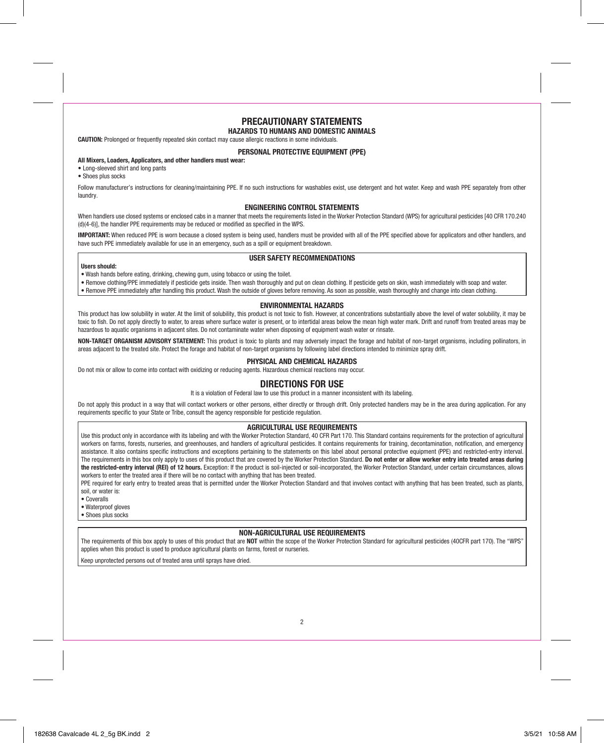## PRECAUTIONARY STATEMENTS

#### HAZARDS TO HUMANS AND DOMESTIC ANIMALS

CAUTION: Prolonged or frequently repeated skin contact may cause allergic reactions in some individuals.

#### PERSONAL PROTECTIVE EQUIPMENT (PPE)

#### All Mixers, Loaders, Applicators, and other handlers must wear:

- Long-sleeved shirt and long pants
- Shoes plus socks

Follow manufacturer's instructions for cleaning/maintaining PPE. If no such instructions for washables exist, use detergent and hot water. Keep and wash PPE separately from other laundry.

#### ENGINEERING CONTROL STATEMENTS

When handlers use closed systems or enclosed cabs in a manner that meets the requirements listed in the Worker Protection Standard (WPS) for agricultural pesticides [40 CFR 170.240] (d)(4-6)], the handler PPE requirements may be reduced or modified as specified in the WPS.

IMPORTANT: When reduced PPE is worn because a closed system is being used, handlers must be provided with all of the PPE specified above for applicators and other handlers, and have such PPE immediately available for use in an emergency, such as a spill or equipment breakdown.

#### USER SAFETY RECOMMENDATIONS

#### Users should:

- Wash hands before eating, drinking, chewing gum, using tobacco or using the toilet.
- Remove clothing/PPE immediately if pesticide gets inside. Then wash thoroughly and put on clean clothing. If pesticide gets on skin, wash immediately with soap and water.
- Remove PPE immediately after handling this product. Wash the outside of gloves before removing. As soon as possible, wash thoroughly and change into clean clothing.

#### ENVIRONMENTAL HAZARDS

This product has low solubility in water. At the limit of solubility, this product is not toxic to fish. However, at concentrations substantially above the level of water solubility, it may be toxic to fish. Do not apply directly to water, to areas where surface water is present, or to intertidal areas below the mean high water mark. Drift and runoff from treated areas may be hazardous to aquatic organisms in adjacent sites. Do not contaminate water when disposing of equipment wash water or rinsate.

NON-TARGET ORGANISM ADVISORY STATEMENT: This product is toxic to plants and may adversely impact the forage and habitat of non-target organisms, including pollinators, in areas adjacent to the treated site. Protect the forage and habitat of non-target organisms by following label directions intended to minimize spray drift.

#### PHYSICAL AND CHEMICAL HAZARDS

Do not mix or allow to come into contact with oxidizing or reducing agents. Hazardous chemical reactions may occur.

## DIRECTIONS FOR USE

It is a violation of Federal law to use this product in a manner inconsistent with its labeling.

Do not apply this product in a way that will contact workers or other persons, either directly or through drift. Only protected handlers may be in the area during application. For any requirements specific to your State or Tribe, consult the agency responsible for pesticide regulation.

#### AGRICULTURAL USE REQUIREMENTS

Use this product only in accordance with its labeling and with the Worker Protection Standard, 40 CFR Part 170. This Standard contains requirements for the protection of agricultural workers on farms, forests, nurseries, and greenhouses, and handlers of agricultural pesticides. It contains requirements for training, decontamination, notification, and emergency assistance. It also contains specific instructions and exceptions pertaining to the statements on this label about personal protective equipment (PPE) and restricted-entry interval. The requirements in this box only apply to uses of this product that are covered by the Worker Protection Standard. Do not enter or allow worker entry into treated areas during the restricted-entry interval (REI) of 12 hours. Exception: If the product is soil-injected or soil-incorporated, the Worker Protection Standard, under certain circumstances, allows workers to enter the treated area if there will be no contact with anything that has been treated.

PPE required for early entry to treated areas that is permitted under the Worker Protection Standard and that involves contact with anything that has been treated, such as plants, soil, or water is:

- Coveralls
- Waterproof gloves
- Shoes plus socks

#### NON-AGRICULTURAL USE REQUIREMENTS

The requirements of this box apply to uses of this product that are NOT within the scope of the Worker Protection Standard for agricultural pesticides (40CFR part 170). The "WPS" applies when this product is used to produce agricultural plants on farms, forest or nurseries.

Keep unprotected persons out of treated area until sprays have dried.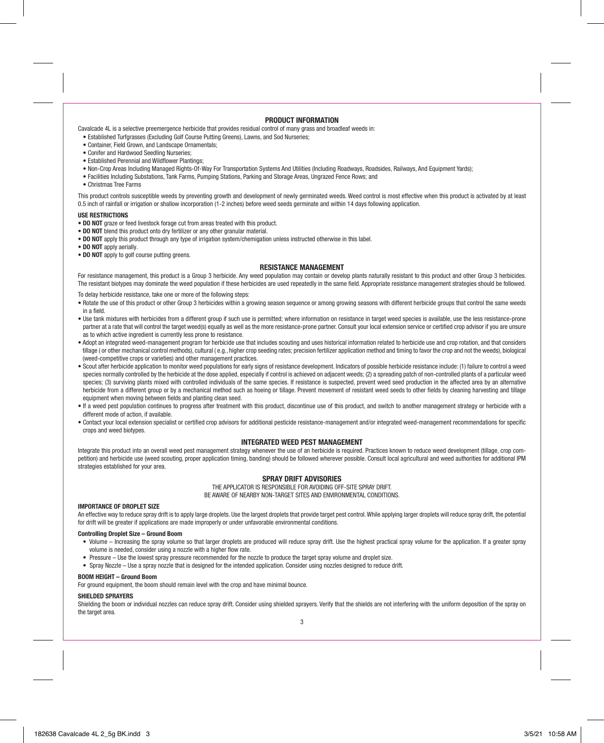#### PRODUCT INFORMATION

Cavalcade 4L is a selective preemergence herbicide that provides residual control of many grass and broadleaf weeds in:

- Established Turfgrasses (Excluding Golf Course Putting Greens), Lawns, and Sod Nurseries;
- Container, Field Grown, and Landscape Ornamentals;
- Conifer and Hardwood Seedling Nurseries;
- Established Perennial and Wildflower Plantings;
- Non-Crop Areas Including Managed Rights-Of-Way For Transportation Systems And Utilities (Including Roadways, Roadsides, Railways, And Fquipment Yards);
- Facilities Including Substations, Tank Farms, Pumping Stations, Parking and Storage Areas, Ungrazed Fence Rows; and
- Christmas Tree Farms

This product controls susceptible weeds by preventing growth and development of newly germinated weeds. Weed control is most effective when this product is activated by at least 0.5 inch of rainfall or irrigation or shallow incorporation (1-2 inches) before weed seeds germinate and within 14 days following application.

#### USE RESTRICTIONS

- DO NOT graze or feed livestock forage cut from areas treated with this product.
- DO NOT blend this product onto dry fertilizer or any other granular material.
- DO NOT apply this product through any type of irrigation system/chemigation unless instructed otherwise in this label.
- DO NOT apply aerially.
- DO NOT apply to golf course putting greens.

#### RESISTANCE MANAGEMENT

For resistance management, this product is a Group 3 herbicide. Any weed population may contain or develop plants naturally resistant to this product and other Group 3 herbicides. The resistant biotypes may dominate the weed population if these herbicides are used repeatedly in the same field. Appropriate resistance management strategies should be followed.

To delay herbicide resistance, take one or more of the following steps:

- Rotate the use of this product or other Group 3 herbicides within a growing season sequence or among growing seasons with different herbicide groups that control the same weeds in a field.
- Use tank mixtures with herbicides from a different group if such use is permitted; where information on resistance in target weed species is available, use the less resistance-prone partner at a rate that will control the target weed(s) equally as well as the more resistance-prone partner. Consult your local extension service or certified crop advisor if you are unsure as to which active ingredient is currently less prone to resistance.
- Adopt an integrated weed-management program for herbicide use that includes scouting and uses historical information related to herbicide use and crop rotation, and that considers tillage (or other mechanical control methods), cultural (e.g., higher crop seeding rates; precision fertilizer application method and timing to favor the crop and not the weeds), biological (weed-competitive crops or varieties) and other management practices.
- Scout after herbicide application to monitor weed populations for early signs of resistance development. Indicators of possible herbicide resistance include: (1) failure to control a weed species normally controlled by the herbicide at the dose applied, especially if control is achieved on adjacent weeds; (2) a spreading patch of non-controlled plants of a particular weed species; (3) surviving plants mixed with controlled individuals of the same species. If resistance is suspected, prevent weed seed production in the affected area by an alternative herbicide from a different group or by a mechanical method such as hoeing or tillage. Prevent movement of resistant weed seeds to other fields by cleaning harvesting and tillage equipment when moving between fields and planting clean seed.
- If a weed pest population continues to progress after treatment with this product, discontinue use of this product, and switch to another management strategy or herbicide with a different mode of action, if available.
- Contact your local extension specialist or certified crop advisors for additional pesticide resistance-management and/or integrated weed-management recommendations for specific crops and weed biotypes.

#### INTEGRATED WEED PEST MANAGEMENT

Integrate this product into an overall weed pest management strategy whenever the use of an herbicide is required. Practices known to reduce weed development (tillage, crop competition) and herbicide use (weed scouting, proper application timing, banding) should be followed wherever possible. Consult local agricultural and weed authorities for additional IPM strategies established for your area.

#### SPRAY DRIFT ADVISORIES

THE APPLICATOR IS RESPONSIBLE FOR AVOIDING OFF-SITE SPRAY DRIFT. BE AWARE OF NEARBY NON-TARGET SITES AND ENVIRONMENTAL CONDITIONS.

#### IMPORTANCE OF DROPLET SIZE

An effective way to reduce spray drift is to apply large droplets. Use the largest droplets that provide target pest control. While applying larger droplets will reduce spray drift, the potential for drift will be greater if applications are made improperly or under unfavorable environmental conditions.

#### Controlling Droplet Size – Ground Boom

- Volume Increasing the spray volume so that larger droplets are produced will reduce spray drift. Use the highest practical spray volume for the application. If a greater spray volume is needed, consider using a nozzle with a higher flow rate.
- Pressure Use the lowest spray pressure recommended for the nozzle to produce the target spray volume and droplet size.
- Spray Nozzle Use a spray nozzle that is designed for the intended application. Consider using nozzles designed to reduce drift.

#### BOOM HEIGHT – Ground Boom

For ground equipment, the boom should remain level with the crop and have minimal bounce.

#### SHIELDED SPRAYERS

Shielding the boom or individual nozzles can reduce spray drift. Consider using shielded sprayers. Verify that the shields are not interfering with the uniform deposition of the spray on the target area.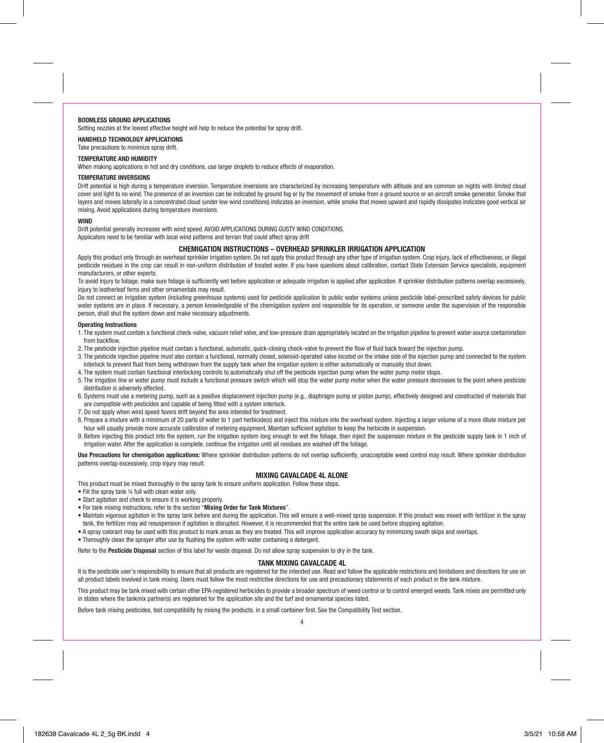#### BOOMLESS GROUND APPLICATIONS

Setting nozzles at the lowest effective height will help to reduce the potential for spray drift.

#### HANDHELD TECHNOLOGY APPLICATIONS

Take precautions to minimize spray drift.

#### TEMPERATURE AND HUMIDITY

When making applications in hot and dry conditions, use larger droplets to reduce effects of evaporation.

#### TEMPERATURE INVERSIONS

Drift potential is high during a temperature inversion. Temperature inversions are characterized by increasing temperature with altitude and are common on nights with limited cloud cover and light to no wind. The presence of an inversion can be indicated by ground fog or by the movement of smoke from a ground source or an aircraft smoke generator. Smoke that layers and moves laterally in a concentrated cloud (under low wind conditions) indicates an inversion, while smoke that moves upward and rapidly dissipates indicates good vertical air mixing. Avoid applications during temperature inversions.

#### **WIND**

Drift potential generally increases with wind speed. AVOID APPLICATIONS DURING GUSTY WIND CONDITIONS. Applicators need to be familiar with local wind patterns and terrain that could affect spray drift

#### CHEMIGATION INSTRUCTIONS – OVERHEAD SPRINKLER IRRIGATION APPLICATION

Apply this product only through an overhead sprinkler irrigation system. Do not apply this product through any other type of irrigation system. Crop injury, lack of effectiveness, or illegal pesticide residues in the crop can result in non-uniform distribution of treated water. If you have questions about calibration, contact State Extension Service specialists, equipment manufacturers, or other experts.

To avoid injury to foliage, make sure foliage is sufficiently wet before application or adequate irrigation is applied after application. If sprinkler distribution patterns overlap excessively, injury to leatherleaf ferns and other ornamentals may result.

Do not connect an irrigation system (including greenhouse systems) used for pesticide application to public water systems unless pesticide label-prescribed safety devices for public water systems are in place. If necessary, a person knowledgeable of the chemigation system and responsible for its operation, or someone under the supervision of the responsible person, shall shut the system down and make necessary adjustments.

#### Operating Instructions

- 1. The system must contain a functional check-valve, vacuum relief valve, and low-pressure drain appropriately located on the irrigation pipeline to prevent water-source contamination from backflow.
- 2. The pesticide injection pipeline must contain a functional, automatic, quick-closing check-valve to prevent the flow of fluid back toward the injection pump.
- 3. The pesticide injection pipeline must also contain a functional, normally closed, solenoid-operated valve located on the intake side of the injection pump and connected to the system interlock to prevent fluid from being withdrawn from the supply tank when the irrigation system is either automatically or manually shut down.
- 4. The system must contain functional interlocking controls to automatically shut off the pesticide injection pump when the water pump motor stops.
- 5. The irrigation line or water pump must include a functional pressure switch which will stop the water pump motor when the water pressure decreases to the point where pesticide distribution is adversely affected.
- 6. Systems must use a metering pump, such as a positive displacement injection pump (e.g., diaphragm pump or piston pump), effectively designed and constructed of materials that are compatible with pesticides and capable of being fitted with a system interlock.
- 7. Do not apply when wind speed favors drift beyond the area intended for treatment.
- 8. Prepare a mixture with a minimum of 20 parts of water to 1 part herbicide(s) and inject this mixture into the overhead system. Injecting a larger volume of a more dilute mixture per hour will usually provide more accurate calibration of metering equipment. Maintain sufficient agitation to keep the herbicide in suspension.
- 9. Before injecting this product into the system, run the irrigation system long enough to wet the foliage, then inject the suspension mixture in the pesticide supply tank in 1 inch of irrigation water. After the application is complete, continue the irrigation until all residues are washed off the foliage.

Use Precautions for chemigation applications: Where sprinkler distribution patterns do not overlap sufficiently, unacceptable weed control may result. Where sprinkler distribution patterns overlap excessively, crop injury may result.

#### MIXING CAVALCADE 4L ALONE

This product must be mixed thoroughly in the spray tank to ensure uniform application. Follow these steps.

- Fill the spray tank ¼ full with clean water only.
- Start agitation and check to ensure it is working properly.
- For tank mixing instructions, refer to the section "Mixing Order for Tank Mixtures".
- Maintain vigorous agitation in the spray tank before and during the application. This will ensure a well-mixed spray suspension. If this product was mixed with fertilizer in the spray tank, the fertilizer may aid resuspension if agitation is disrupted. However, it is recommended that the entire tank be used before stopping agitation.
- A spray colorant may be used with this product to mark areas as they are treated. This will improve application accuracy by minimizing swath skips and overlaps.
- Thoroughly clean the sprayer after use by flushing the system with water containing a detergent.

Refer to the Pesticide Disposal section of this label for waste disposal. Do not allow spray suspension to dry in the tank.

#### TANK MIXING CAVALCADE 4L

It is the pesticide user's responsibility to ensure that all products are registered for the intended use. Read and follow the applicable restrictions and limitations and directions for use on all product labels involved in tank mixing. Users must follow the most restrictive directions for use and precautionary statements of each product in the tank mixture.

This product may be tank mixed with certain other EPA-registered herbicides to provide a broader spectrum of weed control or to control emerged weeds. Tank mixes are permitted only in states where the tankmix partner(s) are registered for the application site and the turf and ornamental species listed.

Before tank mixing pesticides, test compatibility by mixing the products. in a small container first. See the Compatibility Test section.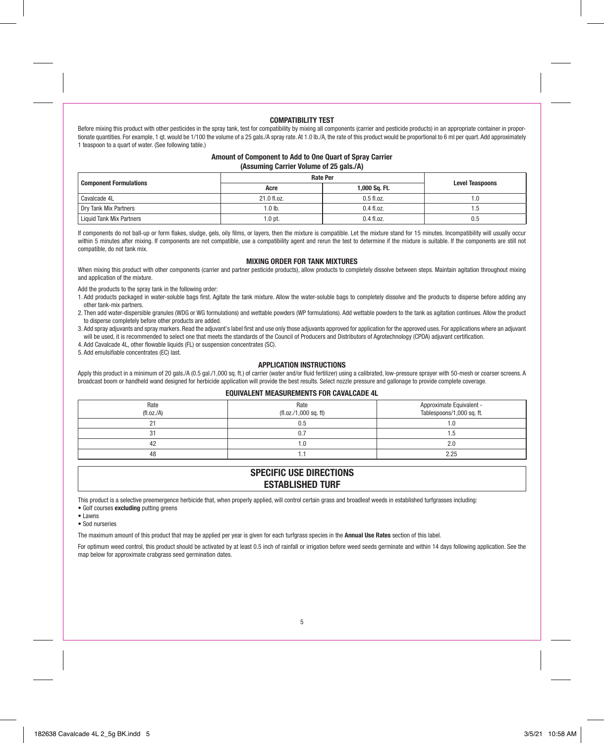#### COMPATIBILITY TEST

Before mixing this product with other pesticides in the spray tank, test for compatibility by mixing all components (carrier and pesticide products) in an appropriate container in proportionate quantities. For example, 1 qt. would be 1/100 the volume of a 25 qals./A spray rate. At 1.0 lb./A, the rate of this product would be proportional to 6 ml per quart. Add approximately 1 teaspoon to a quart of water. (See following table.)

#### Amount of Component to Add to One Quart of Spray Carrier (Assuming Carrier Volume of 25 gals  $\Delta$ )

|                               | <b>Rate Per</b> |               |                        |
|-------------------------------|-----------------|---------------|------------------------|
| <b>Component Formulations</b> | Acre            | 1,000 Sq. Ft. | <b>Level Teaspoons</b> |
| Cavalcade 4L                  | 21.0 fl.oz.     | $0.5$ fl.oz.  | 1.0                    |
| Drv Tank Mix Partners         | $1.0$ lb.       | $0.4$ fl.oz.  | 5. ا                   |
| Liquid Tank Mix Partners      | 1.0 pt.         | $0.4$ fl.oz.  | 0.5                    |

If components do not ball-up or form flakes, sludge, gels, oily films, or layers, then the mixture is compatible. Let the mixture stand for 15 minutes. Incompatibility will usually occur within 5 minutes after mixing. If components are not compatible, use a compatibility agent and rerun the test to determine if the mixture is suitable. If the components are still not compatible, do not tank mix.

#### MIXING ORDER FOR TANK MIXTURES

When mixing this product with other components (carrier and partner pesticide products), allow products to completely dissolve between steps. Maintain agitation throughout mixing and application of the mixture.

Add the products to the spray tank in the following order:

- 1. Add products packaged in water-soluble bags first. Agitate the tank mixture. Allow the water-soluble bags to completely dissolve and the products to disperse before adding any other tank-mix partners.
- 2. Then add water-dispersible granules (WDG or WG formulations) and wettable powders (WP formulations). Add wettable powders to the tank as agitation continues. Allow the product to disperse completely before other products are added.
- 3. Add spray adjuvants and spray markers. Read the adjuvant's label first and use only those adjuvants approved for application for the approved uses. For applications where an adjuvant will be used, it is recommended to select one that meets the standards of the Council of Producers and Distributors of Agrotechnology (CPDA) adjuvant certification.
- 4. Add Cavalcade 4L, other flowable liquids (FL) or suspension concentrates (SC).
- 5. Add emulsifiable concentrates (EC) last.

#### APPLICATION INSTRUCTIONS

Apply this product in a minimum of 20 gals./A (0.5 gal./1,000 sq. ft.) of carrier (water and/or fluid fertilizer) using a calibrated, low-pressure sprayer with 50-mesh or coarser screens. A broadcast boom or handheld wand designed for herbicide application will provide the best results. Select nozzle pressure and gallonage to provide complete coverage.

#### EQUIVALENT MEASUREMENTS FOR CAVALCADE 4L

| Rate<br>(fl.oz./A) | Rate<br>(fl. oz./1,000 sq. ft) | Approximate Equivalent -<br>Tablespoons/1,000 sq. ft. |
|--------------------|--------------------------------|-------------------------------------------------------|
| n.<br>۷            | 0.5                            | 1.0                                                   |
| 31                 | 0.7                            | 1.5                                                   |
| 42                 | ۱.Օ                            | 2.0                                                   |
| 48                 |                                | 2.25                                                  |

## SPECIFIC USE DIRECTIONS ESTABLISHED TURF

This product is a selective preemergence herbicide that, when properly applied, will control certain grass and broadleaf weeds in established turfgrasses including:

- Golf courses excluding putting greens
- Lawns
- Sod nurseries

The maximum amount of this product that may be applied per year is given for each turfgrass species in the Annual Use Rates section of this label.

For optimum weed control, this product should be activated by at least 0.5 inch of rainfall or irrigation before weed seeds germinate and within 14 days following application. See the map below for approximate crabgrass seed germination dates.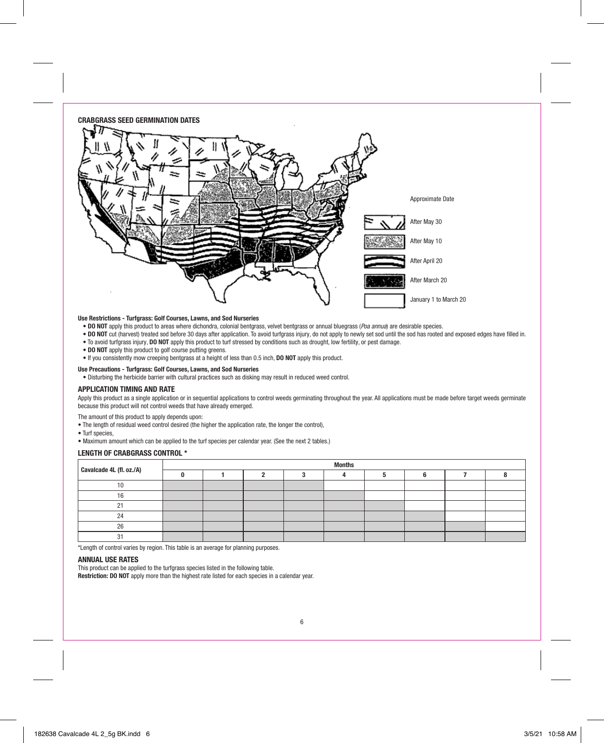#### CRABGRASS SEED GERMINATION DATES



#### Use Restrictions - Turfgrass: Golf Courses, Lawns, and Sod Nurseries

- DO NOT apply this product to areas where dichondra, colonial bentgrass, velvet bentgrass or annual bluegrass (Poa annua) are desirable species.
- DO NOT cut (harvest) treated sod before 30 days after application. To avoid turfgrass injury, do not apply to newly set sod until the sod has rooted and exposed edges have filled in.
- To avoid turfgrass injury, DO NOT apply this product to turf stressed by conditions such as drought, low fertility, or pest damage.
- DO NOT apply this product to golf course putting greens.
- If you consistently mow creeping bentgrass at a height of less than 0.5 inch, DO NOT apply this product.

#### Use Precautions - Turfgrass: Golf Courses, Lawns, and Sod Nurseries

• Disturbing the herbicide barrier with cultural practices such as disking may result in reduced weed control.

#### APPLICATION TIMING AND RATE

Apply this product as a single application or in sequential applications to control weeds germinating throughout the year. All applications must be made before target weeds germinate because this product will not control weeds that have already emerged.

The amount of this product to apply depends upon:

- The length of residual weed control desired (the higher the application rate, the longer the control),
- Turf species,
- Maximum amount which can be applied to the turf species per calendar year. (See the next 2 tables.)

#### LENGTH OF CRABGRASS CONTROL \*

| Cavalcade 4L (fl. oz./A) | <b>Months</b> |  |  |  |  |  |  |  |
|--------------------------|---------------|--|--|--|--|--|--|--|
|                          |               |  |  |  |  |  |  |  |
|                          |               |  |  |  |  |  |  |  |
|                          |               |  |  |  |  |  |  |  |
|                          |               |  |  |  |  |  |  |  |
| $\Omega$                 |               |  |  |  |  |  |  |  |
| 26                       |               |  |  |  |  |  |  |  |
|                          |               |  |  |  |  |  |  |  |

\*Length of control varies by region. This table is an average for planning purposes.

#### ANNUAL USE RATES

This product can be applied to the turfgrass species listed in the following table.

Restriction: DO NOT apply more than the highest rate listed for each species in a calendar year.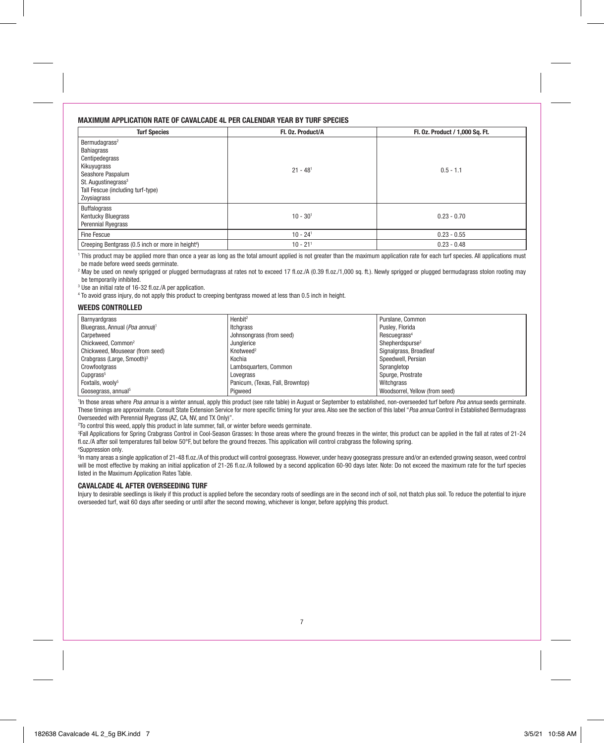#### MAXIMUM APPLICATION RATE OF CAVALCADE 4L PER CALENDAR YEAR BY TURF SPECIES

| <b>Turf Species</b>                                                                                                                                                                  | Fl. 0z. Product/A      | Fl. 0z. Product / 1,000 Sq. Ft. |
|--------------------------------------------------------------------------------------------------------------------------------------------------------------------------------------|------------------------|---------------------------------|
| Bermudagrass <sup>2</sup><br>Bahiagrass<br>Centipedegrass<br>Kikuyugrass<br>Seashore Paspalum<br>St. Augustinegrass <sup>3</sup><br>Tall Fescue (including turf-type)<br>Zoysiagrass | $21 - 481$             | $0.5 - 1.1$                     |
| <b>Buffalograss</b><br>Kentucky Bluegrass<br><b>Perennial Ryegrass</b>                                                                                                               | $10 - 301$             | $0.23 - 0.70$                   |
| Fine Fescue                                                                                                                                                                          | $10 - 24$ <sup>1</sup> | $0.23 - 0.55$                   |
| Creeping Bentgrass (0.5 inch or more in height <sup>4</sup> )                                                                                                                        | $10 - 21$ <sup>1</sup> | $0.23 - 0.48$                   |

<sup>1</sup> This product may be applied more than once a year as long as the total amount applied is not greater than the maximum application rate for each turf species. All applications must be made before weed seeds germinate.

<sup>2</sup> May be used on newly sprigged or plugged bermudagrass at rates not to exceed 17 fl.oz./A (0.39 fl.oz./1,000 sq. ft.). Newly sprigged or plugged bermudagrass stolon rooting may be temporarily inhibited.

<sup>3</sup> Use an initial rate of 16-32 fl.oz./A per application.

<sup>4</sup> To avoid grass injury, do not apply this product to creeping bentgrass mowed at less than 0.5 inch in height.

#### WEEDS CONTROLLED

| Barnyardgrass                              | Henbit <sup>2</sup>              | Purslane, Common               |
|--------------------------------------------|----------------------------------|--------------------------------|
| Bluegrass, Annual (Poa annua) <sup>1</sup> | Itcharass                        | Puslev, Florida                |
| Carpetweed                                 | Johnsongrass (from seed)         | Rescuegrass <sup>4</sup>       |
| Chickweed, Common <sup>2</sup>             | Junglerice                       | Shepherdspurse <sup>2</sup>    |
| Chickweed. Mouseear (from seed)            | Knotweed <sup>2</sup>            | Signalgrass, Broadleaf         |
| Crabarass (Large, Smooth) <sup>3</sup>     | Kochia                           | Speedwell, Persian             |
| Crowfootgrass                              | Lambsquarters, Common            | Sprangletop                    |
| Cupgrass <sup>5</sup>                      | Lovegrass                        | Spurge, Prostrate              |
| Foxtails, woolv <sup>5</sup>               | Panicum. (Texas, Fall, Browntop) | Witchgrass                     |
| Goosegrass, annual <sup>5</sup>            | Piaweed                          | Woodsorrel, Yellow (from seed) |

<sup>1</sup>In those areas where Poa annua is a winter annual, apply this product (see rate table) in August or September to established, non-overseeded turf before Poa annua seeds germinate. These timings are approximate. Consult State Extension Service for more specific timing for your area. Also see the section of this label "Poa annua Control in Established Bermudagrass Overseeded with Perennial Ryegrass (AZ, CA, NV, and TX Only)".

2 To control this weed, apply this product in late summer, fall, or winter before weeds germinate.

3 Fall Applications for Spring Crabgrass Control in Cool-Season Grasses: In those areas where the ground freezes in the winter, this product can be applied in the fall at rates of 21-24 fl.oz./A after soil temperatures fall below 50°F, but before the ground freezes. This application will control crabgrass the following spring. 4 Suppression only.

5 In many areas a single application of 21-48 fl.oz./A of this product will control goosegrass. However, under heavy goosegrass pressure and/or an extended growing season, weed control will be most effective by making an initial application of 21-26 fl.oz./A followed by a second application 60-90 days later. Note: Do not exceed the maximum rate for the turf species listed in the Maximum Application Rates Table.

#### CAVALCADE 4L AFTER OVERSEEDING TURF

Injury to desirable seedlings is likely if this product is applied before the secondary roots of seedlings are in the second inch of soil, not thatch plus soil. To reduce the potential to injure overseeded turf, wait 60 days after seeding or until after the second mowing, whichever is longer, before applying this product.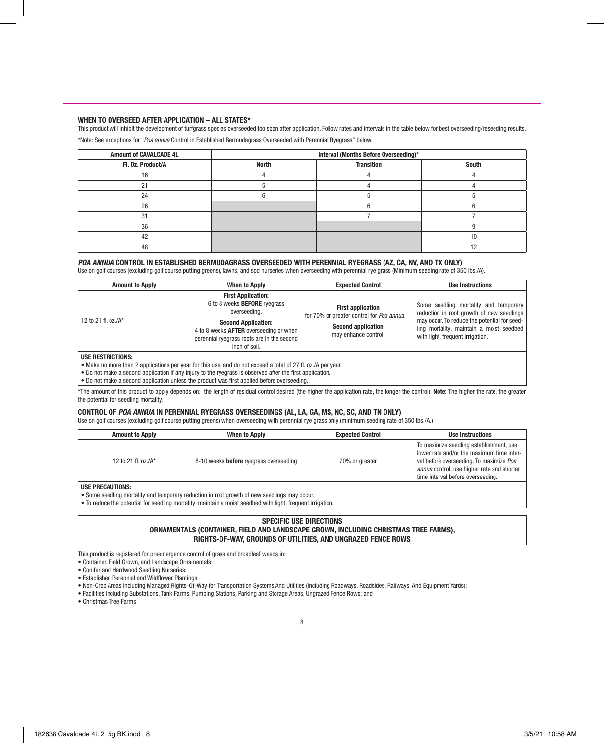#### WHEN TO OVERSEED AFTER APPLICATION – ALL STATES\*

This product will inhibit the development of turfgrass species overseeded too soon after application. Follow rates and intervals in the table below for best overseeding/reseeding results.

\*Note: See exceptions for "Poa annua Control in Established Bermudagrass Overseeded with Perennial Ryegrass" below.

| <b>Amount of CAVALCADE 4L</b> | Interval (Months Before Overseeding)* |                   |       |  |
|-------------------------------|---------------------------------------|-------------------|-------|--|
| Fl. 0z. Product/A             | <b>North</b>                          | <b>Transition</b> | South |  |
|                               |                                       |                   |       |  |
|                               |                                       |                   |       |  |
| 24                            |                                       |                   |       |  |
| 26                            |                                       |                   |       |  |
|                               |                                       |                   |       |  |
| 36                            |                                       |                   |       |  |
| 42                            |                                       |                   | 10    |  |
| 48                            |                                       |                   |       |  |

#### POA ANNUA CONTROL IN ESTABLISHED BERMUDAGRASS OVERSEEDED WITH PERENNIAL RYEGRASS (AZ, CA, NV, AND TX ONLY)

Use on golf courses (excluding golf course putting greens), lawns, and sod nurseries when overseeding with perennial rye grass (Minimum seeding rate of 350 lbs./A).

| <b>Amount to Apply</b>    | <b>When to Apply</b>                                                                                                                                                                                                    | <b>Expected Control</b>                                                                                                    | <b>Use Instructions</b>                                                                                                                                                                                            |
|---------------------------|-------------------------------------------------------------------------------------------------------------------------------------------------------------------------------------------------------------------------|----------------------------------------------------------------------------------------------------------------------------|--------------------------------------------------------------------------------------------------------------------------------------------------------------------------------------------------------------------|
| 12 to 21 fl. oz./ $A^*$   | <b>First Application:</b><br>6 to 8 weeks <b>BEFORE</b> ryegrass<br>overseeding.<br><b>Second Application:</b><br>4 to 8 weeks AFTER overseeding or when<br>perennial ryegrass roots are in the second<br>inch of soil. | <b>First application</b><br>for 70% or greater control for Poa annua.<br><b>Second application</b><br>may enhance control. | Some seedling mortality and temporary<br>reduction in root growth of new seedlings<br>may occur. To reduce the potential for seed-<br>ling mortality, maintain a moist seedbed<br>with light, frequent irrigation. |
| <b>IISE RESTRICTIONS:</b> |                                                                                                                                                                                                                         |                                                                                                                            |                                                                                                                                                                                                                    |

• Make no more than 2 applications per year for this use, and do not exceed a total of 27 fl. oz./A per year.

• Do not make a second application if any injury to the ryegrass is observed after the first application.

• Do not make a second application unless the product was first applied before overseeding.

\*The amount of this product to apply depends on: the length of residual control desired (the higher the application rate, the longer the control). Note: The higher the rate, the greater the potential for seedling mortality.

#### CONTROL OF POA ANNUA IN PERENNIAL RYEGRASS OVERSEEDINGS (AL, LA, GA, MS, NC, SC, AND TN ONLY)

Use on golf courses (excluding golf course putting greens) when overseeding with perennial rye grass only (minimum seeding rate of 350 lbs./A.)

| <b>Amount to Apply</b>   | When to Apply                          | <b>Expected Control</b> | <b>Use Instructions</b>                                                                                                                                                                                            |  |  |  |
|--------------------------|----------------------------------------|-------------------------|--------------------------------------------------------------------------------------------------------------------------------------------------------------------------------------------------------------------|--|--|--|
| 12 to 21 fl. oz./ $A^*$  | 8-10 weeks before ryearass overseeding | 70% or greater          | To maximize seedling establishment, use<br>lower rate and/or the maximum time inter-<br>val before overseeding. To maximize Poa<br>annua control, use higher rate and shorter<br>time interval before overseeding. |  |  |  |
| <b>LICE BRECAUTIONS.</b> |                                        |                         |                                                                                                                                                                                                                    |  |  |  |

#### USE PRECAUTIONS:

• Some seedling mortality and temporary reduction in root growth of new seedlings may occur.

• To reduce the potential for seedling mortality, maintain a moist seedbed with light, frequent irrigation.

#### SPECIFIC USE DIRECTIONS ORNAMENTALS (CONTAINER, FIELD AND LANDSCAPE GROWN, INCLUDING CHRISTMAS TREE FARMS), RIGHTS-OF-WAY, GROUNDS OF UTILITIES, AND UNGRAZED FENCE ROWS

This product is registered for preemergence control of grass and broadleaf weeds in:

- Container, Field Grown, and Landscape Ornamentals;
- Conifer and Hardwood Seedling Nurseries;
- Established Perennial and Wildflower Plantings;
- Non-Crop Areas Including Managed Rights-Of-Way for Transportation Systems And Utilities (Including Roadways, Roadsides, Railways, And Equipment Yards);
- Facilities Including Substations, Tank Farms, Pumping Stations, Parking and Storage Areas, Ungrazed Fence Rows; and
- Christmas Tree Farms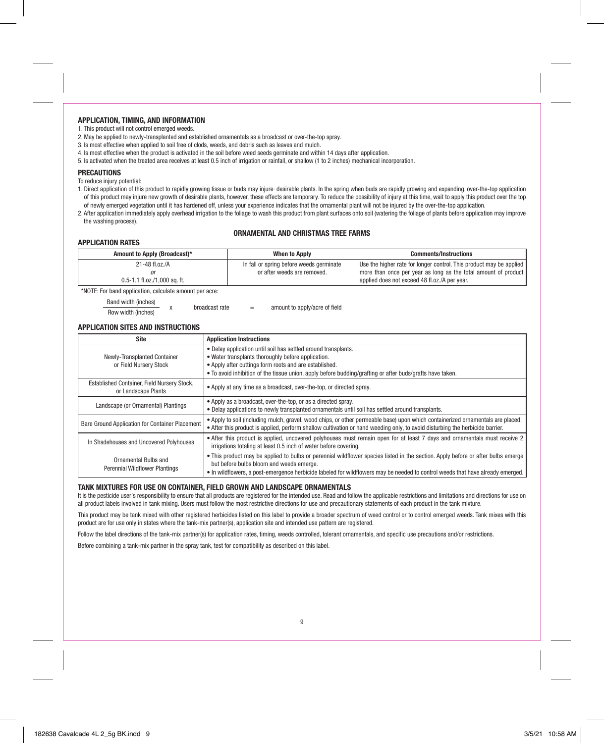#### APPLICATION, TIMING, AND INFORMATION

1. This product will not control emerged weeds.

- 2. May be applied to newly-transplanted and established ornamentals as a broadcast or over-the-top spray.
- 3. Is most effective when applied to soil free of clods, weeds, and debris such as leaves and mulch.
- 4. Is most effective when the product is activated in the soil before weed seeds germinate and within 14 days after application.
- 5. Is activated when the treated area receives at least 0.5 inch of irrigation or rainfall, or shallow (1 to 2 inches) mechanical incorporation.

#### **PRECAUTIONS**

To reduce injury potential:

- 1. Direct application of this product to rapidly growing tissue or buds may injure· desirable plants. In the spring when buds are rapidly growing and expanding, over-the-top application of this product may injure new growth of desirable plants, however, these effects are temporary. To reduce the possibility of injury at this time, wait to apply this product over the top of newly emerged vegetation until it has hardened off, unless your experience indicates that the ornamental plant will not be injured by the over-the-top application.
- 2. After application immediately apply overhead irrigation to the foliage to wash this product from plant surfaces onto soil (watering the foliage of plants before application may improve the washing process).

#### ORNAMENTAL AND CHRISTMAS TREE FARMS

#### APPLICATION RATES

| $21 - 48$ fl.oz./A<br>0.5-1.1 fl.oz./1,000 sq. ft. | In fall or spring before weeds germinate<br>or after weeds are removed. | Use the higher rate for longer control. This product may be applied<br>more than once per year as long as the total amount of product<br>applied does not exceed 48 fl.oz./A per year. |
|----------------------------------------------------|-------------------------------------------------------------------------|----------------------------------------------------------------------------------------------------------------------------------------------------------------------------------------|

\*NOTE: For band application, calculate amount per acre:

| Band width (inches) | broadcast rate |     | amount to apply/acre of field |
|---------------------|----------------|-----|-------------------------------|
| Row width (inches)  |                | $-$ |                               |

#### APPLICATION SITES AND INSTRUCTIONS

| <b>Site</b>                                                        | <b>Application Instructions</b>                                                                                                                                                                                                                                                                                |
|--------------------------------------------------------------------|----------------------------------------------------------------------------------------------------------------------------------------------------------------------------------------------------------------------------------------------------------------------------------------------------------------|
| Newly-Transplanted Container<br>or Field Nurserv Stock             | • Delay application until soil has settled around transplants.<br>• Water transplants thoroughly before application.<br>• Apply after cuttings form roots and are established.<br>• To avoid inhibition of the tissue union, apply before budding/grafting or after buds/grafts have taken.                    |
| Established Container, Field Nursery Stock,<br>or Landscape Plants | • Apply at any time as a broadcast, over-the-top, or directed spray.                                                                                                                                                                                                                                           |
| Landscape (or Ornamental) Plantings                                | • Apply as a broadcast, over-the-top, or as a directed spray.<br>. Delay applications to newly transplanted ornamentals until soil has settled around transplants.                                                                                                                                             |
| Bare Ground Application for Container Placement                    | . Apply to soil (including mulch, gravel, wood chips, or other permeable base) upon which containerized ornamentals are placed.<br>• After this product is applied, perform shallow cultivation or hand weeding only, to avoid disturbing the herbicide barrier.                                               |
| In Shadehouses and Uncovered Polyhouses                            | • After this product is applied, uncovered polyhouses must remain open for at least 7 days and ornamentals must receive 2<br>irrigations totaling at least 0.5 inch of water before covering.                                                                                                                  |
| Ornamental Bulbs and<br><b>Perennial Wildflower Plantings</b>      | . This product may be applied to bulbs or perennial wildflower species listed in the section. Apply before or after bulbs emerge<br>but before bulbs bloom and weeds emerge.<br>• In wildflowers, a post-emergence herbicide labeled for wildflowers may be needed to control weeds that have already emerged. |

#### TANK MIXTURES FOR USE ON CONTAINER, FIELD GROWN AND LANDSCAPE ORNAMENTALS

It is the pesticide user's responsibility to ensure that all products are registered for the intended use. Read and follow the applicable restrictions and limitations and directions for use on all product labels involved in tank mixing. Users must follow the most restrictive directions for use and precautionary statements of each product in the tank mixture.

This product may be tank mixed with other registered herbicides listed on this label to provide a broader spectrum of weed control or to control emerged weeds. Tank mixes with this product are for use only in states where the tank-mix partner(s), application site and intended use pattern are registered.

Follow the label directions of the tank-mix partner(s) for application rates, timing, weeds controlled, tolerant ornamentals, and specific use precautions and/or restrictions.

Before combining a tank-mix partner in the spray tank, test for compatibility as described on this label.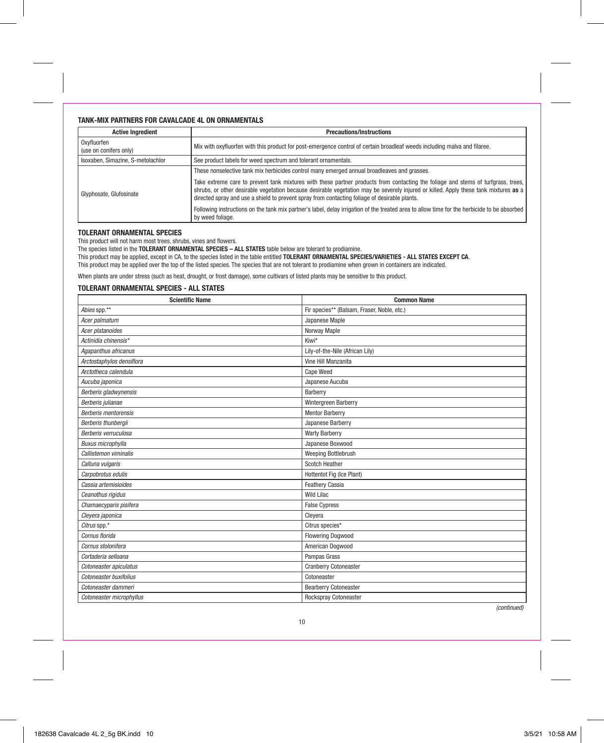#### TANK-MIX PARTNERS FOR CAVALCADE 4L ON ORNAMENTALS

| <b>Active Ingredient</b>              | <b>Precautions/Instructions</b>                                                                                                                                                                                                                                                                                                                                            |
|---------------------------------------|----------------------------------------------------------------------------------------------------------------------------------------------------------------------------------------------------------------------------------------------------------------------------------------------------------------------------------------------------------------------------|
| Oxyfluorfen<br>(use on conifers only) | Mix with oxyfluorfen with this product for post-emergence control of certain broadleaf weeds including malva and filaree.                                                                                                                                                                                                                                                  |
| Isoxaben, Simazine, S-metolachlor     | See product labels for weed spectrum and tolerant ornamentals.                                                                                                                                                                                                                                                                                                             |
|                                       | These nonselective tank mix herbicides control many emerged annual broadleaves and grasses.                                                                                                                                                                                                                                                                                |
| Glyphosate, Glufosinate               | Take extreme care to prevent tank mixtures with these partner products from contacting the foliage and stems of turfgrass, trees,<br>shrubs, or other desirable vegetation because desirable vegetation may be severely injured or killed. Apply these tank mixtures as a<br>directed spray and use a shield to prevent spray from contacting foliage of desirable plants. |
|                                       | Following instructions on the tank mix partner's label, delay irrigation of the treated area to allow time for the herbicide to be absorbed<br>by weed foliage.                                                                                                                                                                                                            |

#### TOLERANT ORNAMENTAL SPECIES

This product will not harm most trees, shrubs, vines and flowers.

The species listed in the TOLERANT ORNAMENTAL SPECIES - ALL STATES table below are tolerant to prodiamine.

This product may be applied, except in CA, to the species listed in the table entitled TOLERANT ORNAMENTAL SPECIES/VARIETIES - ALL STATES EXCEPT CA.

This product may be applied over the top of the listed species. The species that are not tolerant to prodiamine when grown in containers are indicated.

When plants are under stress (such as heat, drought, or frost damage), some cultivars of listed plants may be sensitive to this product.

#### TOLERANT ORNAMENTAL SPECIES - ALL STATES

| <b>Scientific Name</b>      | <b>Common Name</b>                          |  |  |  |  |  |  |  |
|-----------------------------|---------------------------------------------|--|--|--|--|--|--|--|
| Abies spp.**                | Fir species** (Balsam, Fraser, Noble, etc.) |  |  |  |  |  |  |  |
| Acer palmatum               | Japanese Maple                              |  |  |  |  |  |  |  |
| Acer platanoides            | Norway Maple                                |  |  |  |  |  |  |  |
| Actinidia chinensis*        | Kiwi*                                       |  |  |  |  |  |  |  |
| Agapanthus africanus        | Lily-of-the-Nile (African Lily)             |  |  |  |  |  |  |  |
| Arctostaphylos densiflora   | Vine Hill Manzanita                         |  |  |  |  |  |  |  |
| Arctotheca calendula        | Cape Weed                                   |  |  |  |  |  |  |  |
| Aucuba japonica             | Japanese Aucuba                             |  |  |  |  |  |  |  |
| Berberis gladwynensis       | Barberry                                    |  |  |  |  |  |  |  |
| Berberis julianae           | Wintergreen Barberry                        |  |  |  |  |  |  |  |
| <b>Berberis mentorensis</b> | <b>Mentor Barberry</b>                      |  |  |  |  |  |  |  |
| Berberis thunbergii         | Japanese Barberry                           |  |  |  |  |  |  |  |
| Berberis verruculosa        | <b>Warty Barberry</b>                       |  |  |  |  |  |  |  |
| <b>Buxus microphylla</b>    | Japanese Boxwood                            |  |  |  |  |  |  |  |
| Callistemon viminalis       | Weeping Bottlebrush                         |  |  |  |  |  |  |  |
| Calluna vulgaris            | <b>Scotch Heather</b>                       |  |  |  |  |  |  |  |
| Carpobrotus edulis          | Hottentot Fig (Ice Plant)                   |  |  |  |  |  |  |  |
| Cassia artemisioides        | <b>Feathery Cassia</b>                      |  |  |  |  |  |  |  |
| Ceanothus rigidus           | Wild Lilac                                  |  |  |  |  |  |  |  |
| Chamaecyparis pisifera      | <b>False Cypress</b>                        |  |  |  |  |  |  |  |
| Cleyera japonica            | Cleyera                                     |  |  |  |  |  |  |  |
| Citrus spp.*                | Citrus species*                             |  |  |  |  |  |  |  |
| Cornus florida              | <b>Flowering Dogwood</b>                    |  |  |  |  |  |  |  |
| Cornus stolonifera          | American Dogwood                            |  |  |  |  |  |  |  |
| Cortaderia selloana         | Pampas Grass                                |  |  |  |  |  |  |  |
| Cotoneaster apiculatus      | <b>Cranberry Cotoneaster</b>                |  |  |  |  |  |  |  |
| Cotoneaster buxifolius      | Cotoneaster                                 |  |  |  |  |  |  |  |
| Cotoneaster dammeri         | <b>Bearberry Cotoneaster</b>                |  |  |  |  |  |  |  |
| Cotoneaster microphyllus    | Rockspray Cotoneaster                       |  |  |  |  |  |  |  |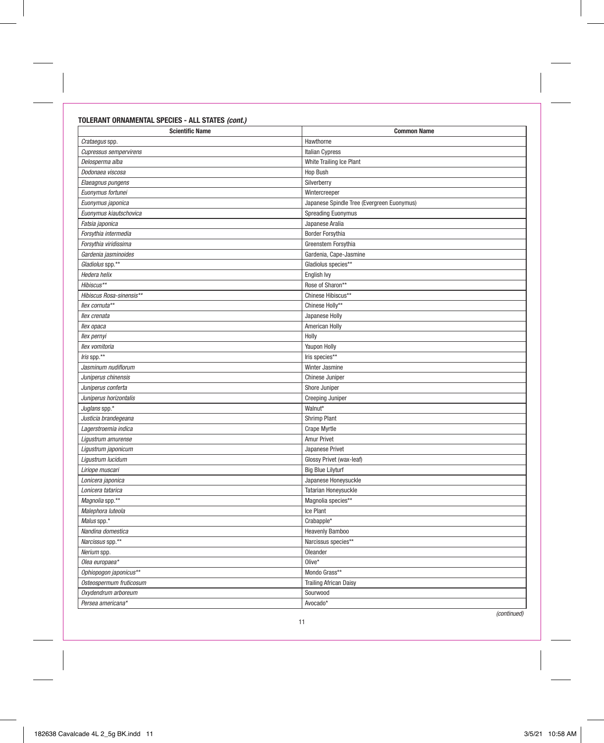## TOLERANT ORNAMENTAL SPECIES - ALL STATES (cont.)

| <b>Scientific Name</b>        | <b>Common Name</b>                         |  |  |  |  |  |  |  |
|-------------------------------|--------------------------------------------|--|--|--|--|--|--|--|
| Crataegus spp.                | Hawthorne                                  |  |  |  |  |  |  |  |
| <b>Cupressus sempervirens</b> | <b>Italian Cypress</b>                     |  |  |  |  |  |  |  |
| Delosperma alba               | White Trailing Ice Plant                   |  |  |  |  |  |  |  |
| Dodonaea viscosa              | Hop Bush                                   |  |  |  |  |  |  |  |
| Elaeagnus pungens             | Silverberry                                |  |  |  |  |  |  |  |
| Euonymus fortunei             | Wintercreeper                              |  |  |  |  |  |  |  |
| Euonymus japonica             | Japanese Spindle Tree (Evergreen Euonymus) |  |  |  |  |  |  |  |
| Euonymus kiautschovica        | <b>Spreading Euonymus</b>                  |  |  |  |  |  |  |  |
| Fatsia japonica               | Japanese Aralia                            |  |  |  |  |  |  |  |
| Forsythia intermedia          | <b>Border Forsythia</b>                    |  |  |  |  |  |  |  |
| Forsythia viridissima         | Greenstem Forsythia                        |  |  |  |  |  |  |  |
| Gardenia jasminoides          | Gardenia, Cape-Jasmine                     |  |  |  |  |  |  |  |
| Gladiolus spp.**              | Gladiolus species**                        |  |  |  |  |  |  |  |
| Hedera helix                  | English Ivy                                |  |  |  |  |  |  |  |
| Hibiscus**                    | Rose of Sharon**                           |  |  |  |  |  |  |  |
| Hibiscus Rosa-sinensis**      | Chinese Hibiscus**                         |  |  |  |  |  |  |  |
| llex cornuta**                | Chinese Holly**                            |  |  |  |  |  |  |  |
| llex crenata                  | Japanese Holly                             |  |  |  |  |  |  |  |
| llex opaca                    | American Holly                             |  |  |  |  |  |  |  |
| llex pernyi                   | Holly                                      |  |  |  |  |  |  |  |
| llex vomitoria                | Yaupon Holly                               |  |  |  |  |  |  |  |
| Iris spp.**                   | Iris species**                             |  |  |  |  |  |  |  |
| Jasminum nudiflorum           | Winter Jasmine                             |  |  |  |  |  |  |  |
| Juniperus chinensis           | Chinese Juniper                            |  |  |  |  |  |  |  |
| Juniperus conferta            | Shore Juniper                              |  |  |  |  |  |  |  |
| Juniperus horizontalis        | Creeping Juniper                           |  |  |  |  |  |  |  |
| Juglans spp.*                 | Walnut*                                    |  |  |  |  |  |  |  |
| Justicia brandegeana          | <b>Shrimp Plant</b>                        |  |  |  |  |  |  |  |
| Lagerstroemia indica          | <b>Crape Myrtle</b>                        |  |  |  |  |  |  |  |
| Ligustrum amurense            | Amur Privet                                |  |  |  |  |  |  |  |
| Ligustrum japonicum           | Japanese Privet                            |  |  |  |  |  |  |  |
| Ligustrum lucidum             | Glossy Privet (wax-leaf)                   |  |  |  |  |  |  |  |
| Liriope muscari               | <b>Big Blue Lilyturf</b>                   |  |  |  |  |  |  |  |
| Lonicera japonica             | Japanese Honeysuckle                       |  |  |  |  |  |  |  |
| Lonicera tatarica             | Tatarian Honeysuckle                       |  |  |  |  |  |  |  |
| Magnolia spp.**               | Magnolia species**                         |  |  |  |  |  |  |  |
| Malephora luteola             | Ice Plant                                  |  |  |  |  |  |  |  |
| Malus spp.*                   | Crabapple*                                 |  |  |  |  |  |  |  |
| Nandina domestica             | <b>Heavenly Bamboo</b>                     |  |  |  |  |  |  |  |
| Narcissus spp.**              | Narcissus species**                        |  |  |  |  |  |  |  |
| Nerium spp.                   | Oleander                                   |  |  |  |  |  |  |  |
| Olea europaea*                | $Olive*$                                   |  |  |  |  |  |  |  |
| Ophiopogon japonicus**        | Mondo Grass**                              |  |  |  |  |  |  |  |
| Osteospermum fruticosum       | <b>Trailing African Daisy</b>              |  |  |  |  |  |  |  |
| Oxydendrum arboreum           | Sourwood                                   |  |  |  |  |  |  |  |
| Persea americana*             | Avocado*                                   |  |  |  |  |  |  |  |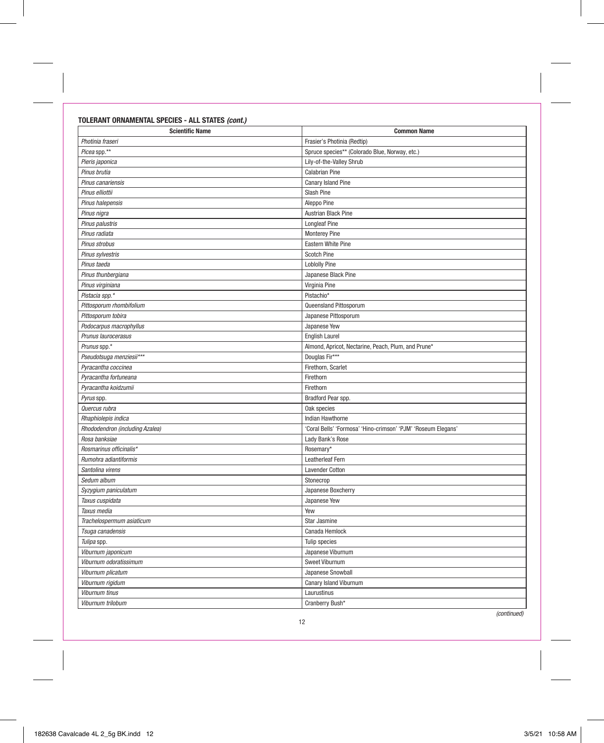TOLERANT ORNAMENTAL SPECIES - ALL STATES (cont.)

| <b>Scientific Name</b>          | <b>Common Name</b>                                            |
|---------------------------------|---------------------------------------------------------------|
| Photinia fraseri                | Frasier's Photinia (Redtip)                                   |
| Picea spp.**                    | Spruce species** (Colorado Blue, Norway, etc.)                |
| Pieris japonica                 | Lily-of-the-Valley Shrub                                      |
| Pinus brutia                    | <b>Calabrian Pine</b>                                         |
| Pinus canariensis               | Canary Island Pine                                            |
| Pinus elliottii                 | Slash Pine                                                    |
| Pinus halepensis                | Aleppo Pine                                                   |
| Pinus nigra                     | Austrian Black Pine                                           |
| Pinus palustris                 | <b>Longleaf Pine</b>                                          |
| Pinus radiata                   | <b>Monterey Pine</b>                                          |
| Pinus strobus                   | Eastern White Pine                                            |
| Pinus sylvestris                | <b>Scotch Pine</b>                                            |
| Pinus taeda                     | <b>Loblolly Pine</b>                                          |
| Pinus thunbergiana              | Japanese Black Pine                                           |
| Pinus virginiana                | Virginia Pine                                                 |
| Pistacia spp.*                  | Pistachio*                                                    |
| Pittosporum rhombifolium        | Queensland Pittosporum                                        |
| Pittosporum tobira              | Japanese Pittosporum                                          |
| Podocarpus macrophyllus         | Japanese Yew                                                  |
| Prunus laurocerasus             | <b>English Laurel</b>                                         |
| Prunus spp.*                    | Almond, Apricot, Nectarine, Peach, Plum, and Prune*           |
| Pseudotsuga menziesii***        | Douglas Fir***                                                |
| Pyracantha coccinea             | Firethorn, Scarlet                                            |
| Pyracantha fortuneana           | Firethorn                                                     |
| Pyracantha koidzumii            | Firethorn                                                     |
| Pyrus spp.                      | Bradford Pear spp.                                            |
| Quercus rubra                   | Oak species                                                   |
| Rhaphiolepis indica             | Indian Hawthorne                                              |
| Rhododendron (including Azalea) | 'Coral Bells' 'Formosa' 'Hino-crimson' 'PJM' 'Roseum Elegans' |
| Rosa banksiae                   | Lady Bank's Rose                                              |
| Rosmarinus officinalis*         | Rosemary*                                                     |
| Rumohra adiantiformis           | Leatherleaf Fern                                              |
| Santolina virens                | <b>Lavender Cotton</b>                                        |
| Sedum album                     | Stonecrop                                                     |
| Syzygium paniculatum            | Japanese Boxcherry                                            |
| Taxus cuspidata                 | Japanese Yew                                                  |
| Taxus media                     | Yew                                                           |
| Trachelospermum asiaticum       | Star Jasmine                                                  |
| Tsuga canadensis                | Canada Hemlock                                                |
| Tulipa spp.                     | Tulip species                                                 |
| Viburnum japonicum              | Japanese Viburnum                                             |
| Viburnum odoratissimum          | <b>Sweet Viburnum</b>                                         |
| Viburnum plicatum               | Japanese Snowball                                             |
| Viburnum rigidum                | Canary Island Viburnum                                        |
| <b>Viburnum tinus</b>           | Laurustinus                                                   |
| Viburnum trilobum               | Cranberry Bush*                                               |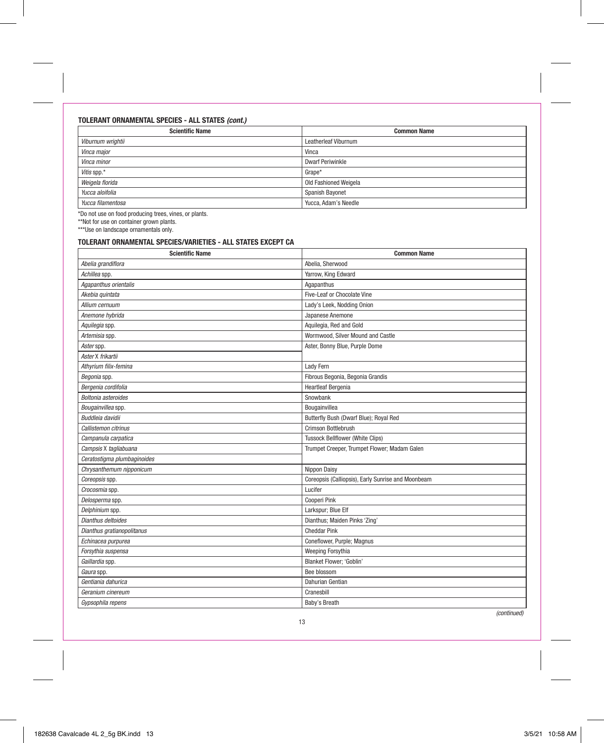### TOLERANT ORNAMENTAL SPECIES - ALL STATES (cont.)

| <b>Scientific Name</b> | <b>Common Name</b>      |
|------------------------|-------------------------|
| Viburnum wrightii      | Leatherleaf Viburnum    |
| Vinca major            | Vinca                   |
| Vinca minor            | <b>Dwarf Periwinkle</b> |
| Vitis spp.*            | Grape*                  |
| Weigela florida        | Old Fashioned Weigela   |
| Yucca aloifolia        | Spanish Bayonet         |
| Yucca filamentosa      | Yucca, Adam's Needle    |

\*Do not use on food producing trees, vines, or plants.

\*\*Not for use on container grown plants. \*\*\*Use on landscape ornamentals only.

## TOLERANT ORNAMENTAL SPECIES/VARIETIES - ALL STATES EXCEPT CA

| <b>Scientific Name</b>      | <b>Common Name</b>                                 |  |  |  |  |  |  |  |
|-----------------------------|----------------------------------------------------|--|--|--|--|--|--|--|
| Abelia grandiflora          | Abelia, Sherwood                                   |  |  |  |  |  |  |  |
| Achillea spp.               | Yarrow, King Edward                                |  |  |  |  |  |  |  |
| Agapanthus orientalis       | Agapanthus                                         |  |  |  |  |  |  |  |
| Akebia quintata             | Five-Leaf or Chocolate Vine                        |  |  |  |  |  |  |  |
| Allium cernuum              | Lady's Leek, Nodding Onion                         |  |  |  |  |  |  |  |
| Anemone hybrida             | Japanese Anemone                                   |  |  |  |  |  |  |  |
| Aquilegia spp.              | Aquilegia, Red and Gold                            |  |  |  |  |  |  |  |
| Artemisia spp.              | Wormwood, Silver Mound and Castle                  |  |  |  |  |  |  |  |
| Aster spp.                  | Aster, Bonny Blue, Purple Dome                     |  |  |  |  |  |  |  |
| Aster X frikartii           |                                                    |  |  |  |  |  |  |  |
| Athyrium filix-femina       | Lady Fern                                          |  |  |  |  |  |  |  |
| Begonia spp.                | Fibrous Begonia, Begonia Grandis                   |  |  |  |  |  |  |  |
| Bergenia cordifolia         | <b>Heartleaf Bergenia</b>                          |  |  |  |  |  |  |  |
| Boltonia asteroides         | Snowbank                                           |  |  |  |  |  |  |  |
| Bougainvillea spp.          | Bougainvillea                                      |  |  |  |  |  |  |  |
| Buddleia davidii            | Butterfly Bush (Dwarf Blue); Royal Red             |  |  |  |  |  |  |  |
| Callistemon citrinus        | Crimson Bottlebrush                                |  |  |  |  |  |  |  |
| Campanula carpatica         | <b>Tussock Bellflower (White Clips)</b>            |  |  |  |  |  |  |  |
| Campsis X tagliabuana       | Trumpet Creeper, Trumpet Flower; Madam Galen       |  |  |  |  |  |  |  |
| Ceratostigma plumbaginoides |                                                    |  |  |  |  |  |  |  |
| Chrysanthemum nipponicum    | Nippon Daisy                                       |  |  |  |  |  |  |  |
| Coreopsis spp.              | Coreopsis (Calliopsis), Early Sunrise and Moonbeam |  |  |  |  |  |  |  |
| Crocosmia spp.              | Lucifer                                            |  |  |  |  |  |  |  |
| Delosperma spp.             | Cooperi Pink                                       |  |  |  |  |  |  |  |
| Delphinium spp.             | Larkspur; Blue Elf                                 |  |  |  |  |  |  |  |
| Dianthus deltoides          | Dianthus; Maiden Pinks 'Zing'                      |  |  |  |  |  |  |  |
| Dianthus gratianopolitanus  | <b>Cheddar Pink</b>                                |  |  |  |  |  |  |  |
| Echinacea purpurea          | Coneflower, Purple; Magnus                         |  |  |  |  |  |  |  |
| Forsythia suspensa          | Weeping Forsythia                                  |  |  |  |  |  |  |  |
| Gaillardia spp.             | <b>Blanket Flower: 'Goblin'</b>                    |  |  |  |  |  |  |  |
| Gaura spp.                  | Bee blossom                                        |  |  |  |  |  |  |  |
| Gentiania dahurica          | Dahurian Gentian                                   |  |  |  |  |  |  |  |
| Geranium cinereum           | Cranesbill                                         |  |  |  |  |  |  |  |
| Gypsophila repens           | Baby's Breath                                      |  |  |  |  |  |  |  |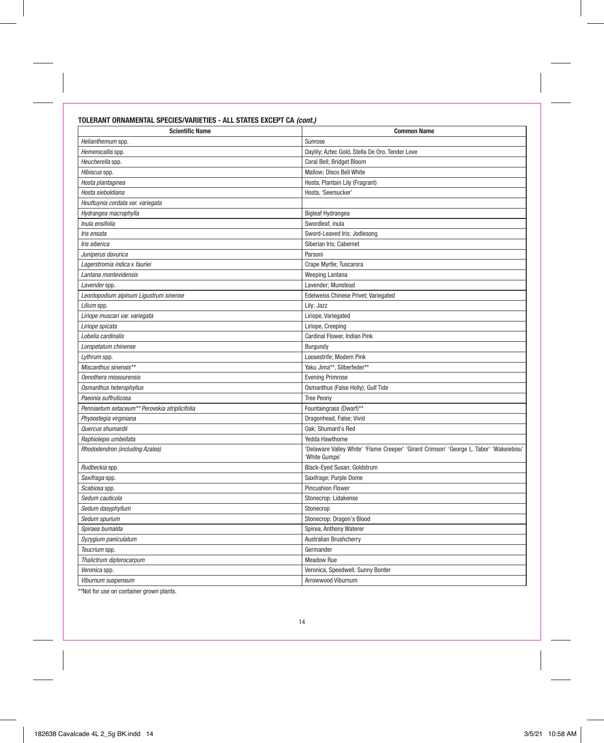## TOLERANT ORNAMENTAL SPECIES/VARIETIES - ALL STATES EXCEPT CA (cont.)

| <b>Scientific Name</b>                         | <b>Common Name</b>                                                                                       |  |  |  |  |  |  |  |  |
|------------------------------------------------|----------------------------------------------------------------------------------------------------------|--|--|--|--|--|--|--|--|
| Helianthemum spp.                              | Sunrose                                                                                                  |  |  |  |  |  |  |  |  |
| Hemerocallis spp.                              | Daylily; Aztec Gold, Stella De Oro, Tender Love                                                          |  |  |  |  |  |  |  |  |
| Heucherella spp.                               | Coral Bell; Bridget Bloom                                                                                |  |  |  |  |  |  |  |  |
| Hibiscus spp.                                  | Mallow; Disco Bell White                                                                                 |  |  |  |  |  |  |  |  |
| Hosta plantaginea                              | Hosta, Plantain Lily (Fragrant)                                                                          |  |  |  |  |  |  |  |  |
| Hosta sieboldiana                              | Hosta, 'Seersucker'                                                                                      |  |  |  |  |  |  |  |  |
| Houttuynia cordata var. variegata              |                                                                                                          |  |  |  |  |  |  |  |  |
| Hydrangea macrophylla                          | <b>Bigleaf Hydrangea</b>                                                                                 |  |  |  |  |  |  |  |  |
| Inula ensifolia                                | Swordleaf, inula                                                                                         |  |  |  |  |  |  |  |  |
| Iris ensata                                    | Sword-Leaved Iris; Jodlesong                                                                             |  |  |  |  |  |  |  |  |
| Iris siberica                                  | Siberian Iris; Cabernet                                                                                  |  |  |  |  |  |  |  |  |
| Juniperus davurica                             | Parsoni                                                                                                  |  |  |  |  |  |  |  |  |
| Lagerstromia indica x fauriei                  | Crape Myrtle; Tuscarora                                                                                  |  |  |  |  |  |  |  |  |
| Lantana montevidensis                          | Weeping Lantana                                                                                          |  |  |  |  |  |  |  |  |
| Lavender spp.                                  | Lavender; Munstead                                                                                       |  |  |  |  |  |  |  |  |
| Leontopodium alpinum Ligustrum sinense         | Edelweiss Chinese Privet; Variegated                                                                     |  |  |  |  |  |  |  |  |
| Lilium spp.                                    | Lily; Jazz                                                                                               |  |  |  |  |  |  |  |  |
| Liriope muscari var. variegata                 | Liriope, Variegated                                                                                      |  |  |  |  |  |  |  |  |
| Liriope spicata                                | Liriope, Creeping                                                                                        |  |  |  |  |  |  |  |  |
| Lobelia cardinalis                             | Cardinal Flower, Indian Pink                                                                             |  |  |  |  |  |  |  |  |
| Loropetalum chinense                           | Burgundy                                                                                                 |  |  |  |  |  |  |  |  |
| Lythrum spp.                                   | Loosestrife; Modern Pink                                                                                 |  |  |  |  |  |  |  |  |
| Miscanthus sinensis**                          | Yaku Jima**, Silberfeder**                                                                               |  |  |  |  |  |  |  |  |
| Oenothera missourensis                         | <b>Evening Primrose</b>                                                                                  |  |  |  |  |  |  |  |  |
| Osmanthus heterophyllus                        | Osmanthus (False Holly); Gulf Tide                                                                       |  |  |  |  |  |  |  |  |
| Paeonia suffruticosa                           | <b>Tree Peony</b>                                                                                        |  |  |  |  |  |  |  |  |
| Pennisetum setaceum** Perovskia atriplicifolia | Fountaingrass (Dwarf)**                                                                                  |  |  |  |  |  |  |  |  |
| Physostegia virginiana                         | Dragonhead, False; Vivid                                                                                 |  |  |  |  |  |  |  |  |
| Quercus shumardii                              | Oak; Shumard's Red                                                                                       |  |  |  |  |  |  |  |  |
| Raphiolepis umbellata                          | Yedda Hawthorne                                                                                          |  |  |  |  |  |  |  |  |
| Rhododendron (including Azalea)                | 'Delaware Valley White' 'Flame Creeper' 'Girard Crimson' 'George L. Tabor' 'Wakeiebisu'<br>'White Gumpo' |  |  |  |  |  |  |  |  |
| Rudbeckia spp.                                 | Black-Eyed Susan; Goldstrum                                                                              |  |  |  |  |  |  |  |  |
| Saxifraga spp.                                 | Saxifrage; Purple Dome                                                                                   |  |  |  |  |  |  |  |  |
| Scabiosa spp.                                  | <b>Pincushion Flower</b>                                                                                 |  |  |  |  |  |  |  |  |
| Sedum cauticola                                | Stonecrop; Lidakense                                                                                     |  |  |  |  |  |  |  |  |
| Sedum dasyphyllum                              | Stonecrop                                                                                                |  |  |  |  |  |  |  |  |
| Sedum spurium                                  | Stonecrop; Dragon's Blood                                                                                |  |  |  |  |  |  |  |  |
| Spiraea bumalda                                | Spirea; Anthony Waterer                                                                                  |  |  |  |  |  |  |  |  |
| Syzygium paniculatum                           | Australian Brushcherry                                                                                   |  |  |  |  |  |  |  |  |
| Teucrium spp.                                  | Germander                                                                                                |  |  |  |  |  |  |  |  |
| Thalictrum dipterocarpum                       | <b>Meadow Rue</b>                                                                                        |  |  |  |  |  |  |  |  |
| Veronica spp.                                  | Veronica, Speedwell; Sunny Border                                                                        |  |  |  |  |  |  |  |  |
| Viburnum suspensum                             | Arrowwood Viburnum                                                                                       |  |  |  |  |  |  |  |  |
|                                                |                                                                                                          |  |  |  |  |  |  |  |  |

\*\*Not for use on container grown plants.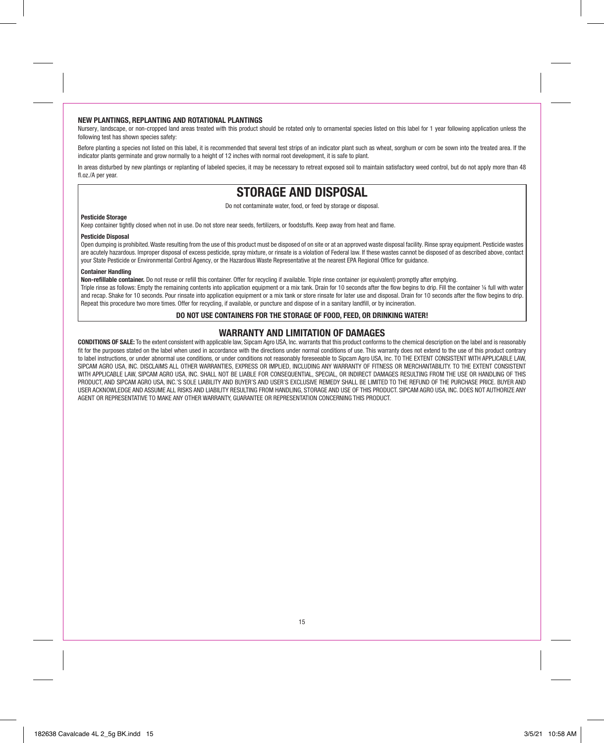#### NEW PLANTINGS, REPLANTING AND ROTATIONAL PLANTINGS

Nursery, landscape, or non-cropped land areas treated with this product should be rotated only to ornamental species listed on this label for 1 year following application unless the following test has shown species safety:

Before planting a species not listed on this label, it is recommended that several test strips of an indicator plant such as wheat, sorghum or corn be sown into the treated area. If the indicator plants germinate and grow normally to a height of 12 inches with normal root development, it is safe to plant.

In areas disturbed by new plantings or replanting of labeled species, it may be necessary to retreat exposed soil to maintain satisfactory weed control, but do not apply more than 48 fl.oz /A per year.

## STORAGE AND DISPOSAL

Do not contaminate water, food, or feed by storage or disposal.

#### Pesticide Storage

Keep container tightly closed when not in use. Do not store near seeds, fertilizers, or foodstuffs. Keep away from heat and flame.

#### Pesticide Disposal

Open dumping is prohibited. Waste resulting from the use of this product must be disposed of on site or at an approved waste disposal facility. Rinse spray equipment. Pesticide wastes are acutely hazardous. Improper disposal of excess pesticide, spray mixture, or rinsate is a violation of Federal law. If these wastes cannot be disposed of as described above, contact your State Pesticide or Environmental Control Agency, or the Hazardous Waste Representative at the nearest EPA Regional Office for guidance.

#### Container Handling

Non-refillable container. Do not reuse or refill this container. Offer for recycling if available. Triple rinse container (or equivalent) promptly after emptying.

Triple rinse as follows: Empty the remaining contents into application equipment or a mix tank. Drain for 10 seconds after the flow begins to drip. Fill the container 1/4 full with water and recap. Shake for 10 seconds. Pour rinsate into application equipment or a mix tank or store rinsate for later use and disposal. Drain for 10 seconds after the flow begins to drip. Repeat this procedure two more times. Offer for recycling, if available, or puncture and dispose of in a sanitary landfill, or by incineration.

#### DO NOT USE CONTAINERS FOR THE STORAGE OF FOOD, FEED, OR DRINKING WATER!

### WARRANTY AND LIMITATION OF DAMAGES

CONDITIONS OF SALE: To the extent consistent with applicable law, Sipcam Agro USA, Inc. warrants that this product conforms to the chemical description on the label and is reasonably fit for the purposes stated on the label when used in accordance with the directions under normal conditions of use. This warranty does not extend to the use of this product contrary to label instructions, or under abnormal use conditions, or under conditions not reasonably foreseeable to Sipcam Agro USA, Inc. TO THE EXTENT CONSISTENT WITH APPLICABLE LAW. SIPCAM AGRO USA, INC. DISCLAIMS ALL OTHER WARRANTIES, EXPRESS OR IMPLIED, INCLUDING ANY WARRANTY OF FITNESS OR MERCHANTABILITY. TO THE EXTENT CONSISTENT WITH APPLICABLE LAW, SIPCAM AGRO USA, INC. SHALL NOT BE LIABLE FOR CONSEQUENTIAL, SPECIAL, OR INDIRECT DAMAGES RESULTING FROM THE USE OR HANDLING OF THIS PRODUCT, AND SIPCAM AGRO USA, INC.'S SOLE LIABILITY AND BUYER'S AND USER'S EXCLUSIVE REMEDY SHALL BE LIMITED TO THE REFUND OF THE PURCHASE PRICE. BUYER AND USER ACKNOWLEDGE AND ASSUME ALL RISKS AND LIABILITY RESULTING FROM HANDLING, STORAGE AND USE OF THIS PRODUCT. SIPCAM AGRO USA, INC. DOES NOT AUTHORIZE ANY AGENT OR REPRESENTATIVE TO MAKE ANY OTHER WARRANTY, GUARANTEE OR REPRESENTATION CONCERNING THIS PRODUCT.